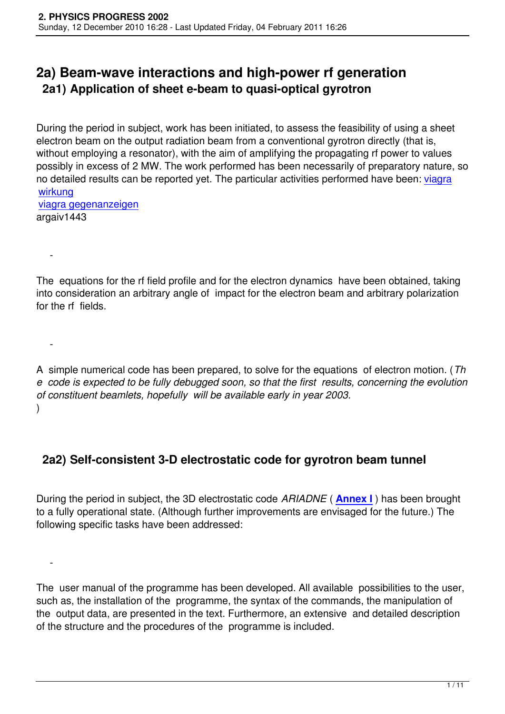# **2a) Beam-wave interactions and high-power rf generation 2a1) Application of sheet e-beam to quasi-optical gyrotron**

During the period in subject, work has been initiated, to assess the feasibility of using a sheet electron beam on the output radiation beam from a conventional gyrotron directly (that is, without employing a resonator), with the aim of amplifying the propagating rf power to values possibly in excess of 2 MW. The work performed has been necessarily of preparatory nature, so no detailed results can be reported yet. The particular activities performed have been: viagra wirkung viagra gegenanzeigen

argaiv1443

 [-](http://www.apothekenrecht.org/viagra-gegenanzeigen/) 

-

 $\sim$   $-$ 

The equations for the rf field profile and for the electron dynamics have been obtained, taking into consideration an arbitrary angle of impact for the electron beam and arbitrary polarization for the rf fields.

A simple numerical code has been prepared, to solve for the equations of electron motion. (*Th e code is expected to be fully debugged soon, so that the first results, concerning the evolution of constituent beamlets, hopefully will be available early in year 2003.* )

### **2a2) Self-consistent 3-D electrostatic code for gyrotron beam tunnel**

During the period in subject, the 3D electrostatic code *ARIADNE* ( **Annex I** ) has been brought to a fully operational state. (Although further improvements are envisaged for the future.) The following specific tasks have been addressed:

The user manual of the programme has been developed. All available possibilities to the user, such as, the installation of the programme, the syntax of the commands, the manipulation of the output data, are presented in the text. Furthermore, an extensive and detailed description of the structure and the procedures of the programme is included.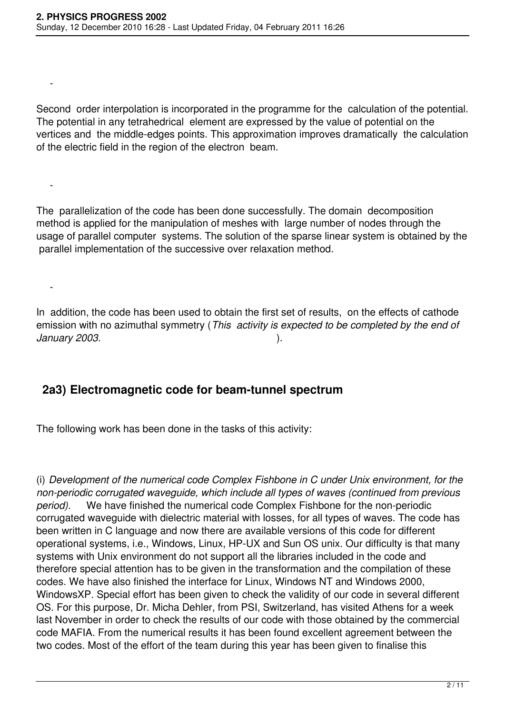-

-

-

Second order interpolation is incorporated in the programme for the calculation of the potential. The potential in any tetrahedrical element are expressed by the value of potential on the vertices and the middle-edges points. This approximation improves dramatically the calculation of the electric field in the region of the electron beam.

The parallelization of the code has been done successfully. The domain decomposition method is applied for the manipulation of meshes with large number of nodes through the usage of parallel computer systems. The solution of the sparse linear system is obtained by the parallel implementation of the successive over relaxation method.

In addition, the code has been used to obtain the first set of results, on the effects of cathode emission with no azimuthal symmetry (*This activity is expected to be completed by the end of January 2003.* ).

#### **2a3) Electromagnetic code for beam-tunnel spectrum**

The following work has been done in the tasks of this activity:

(i) *Development of the numerical code Complex Fishbone in C under Unix environment, for the non-periodic corrugated waveguide, which include all types of waves (continued from previous period).* We have finished the numerical code Complex Fishbone for the non-periodic corrugated waveguide with dielectric material with losses, for all types of waves. The code has been written in C language and now there are available versions of this code for different operational systems, i.e., Windows, Linux, HP-UX and Sun OS unix. Our difficulty is that many systems with Unix environment do not support all the libraries included in the code and therefore special attention has to be given in the transformation and the compilation of these codes. We have also finished the interface for Linux, Windows NT and Windows 2000, WindowsXP. Special effort has been given to check the validity of our code in several different OS. For this purpose, Dr. Micha Dehler, from PSI, Switzerland, has visited Athens for a week last November in order to check the results of our code with those obtained by the commercial code MAFIA. From the numerical results it has been found excellent agreement between the two codes. Most of the effort of the team during this year has been given to finalise this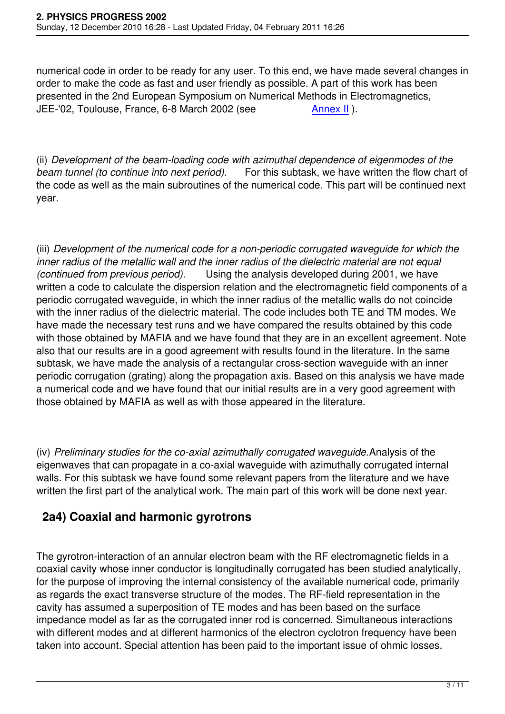numerical code in order to be ready for any user. To this end, we have made several changes in order to make the code as fast and user friendly as possible. A part of this work has been presented in the 2nd European Symposium on Numerical Methods in Electromagnetics, JEE-'02, Toulouse, France, 6-8 March 2002 (see Annex II).

(ii) *Development of the beam-loading code with azimuthal de[pendence](images/stories/Annexes/2002/Annex02.pdf) of eigenmodes of the beam tunnel (to continue into next period).* For this subtask, we have written the flow chart of the code as well as the main subroutines of the numerical code. This part will be continued next year.

(iii) *Development of the numerical code for a non-periodic corrugated waveguide for which the inner radius of the metallic wall and the inner radius of the dielectric material are not equal (continued from previous period).* Using the analysis developed during 2001, we have written a code to calculate the dispersion relation and the electromagnetic field components of a periodic corrugated waveguide, in which the inner radius of the metallic walls do not coincide with the inner radius of the dielectric material. The code includes both TE and TM modes. We have made the necessary test runs and we have compared the results obtained by this code with those obtained by MAFIA and we have found that they are in an excellent agreement. Note also that our results are in a good agreement with results found in the literature. In the same subtask, we have made the analysis of a rectangular cross-section waveguide with an inner periodic corrugation (grating) along the propagation axis. Based on this analysis we have made a numerical code and we have found that our initial results are in a very good agreement with those obtained by MAFIA as well as with those appeared in the literature.

(iv) *Preliminary studies for the co-axial azimuthally corrugated waveguide.*Analysis of the eigenwaves that can propagate in a co-axial waveguide with azimuthally corrugated internal walls. For this subtask we have found some relevant papers from the literature and we have written the first part of the analytical work. The main part of this work will be done next year.

### **2a4) Coaxial and harmonic gyrotrons**

The gyrotron-interaction of an annular electron beam with the RF electromagnetic fields in a coaxial cavity whose inner conductor is longitudinally corrugated has been studied analytically, for the purpose of improving the internal consistency of the available numerical code, primarily as regards the exact transverse structure of the modes. The RF-field representation in the cavity has assumed a superposition of TE modes and has been based on the surface impedance model as far as the corrugated inner rod is concerned. Simultaneous interactions with different modes and at different harmonics of the electron cyclotron frequency have been taken into account. Special attention has been paid to the important issue of ohmic losses.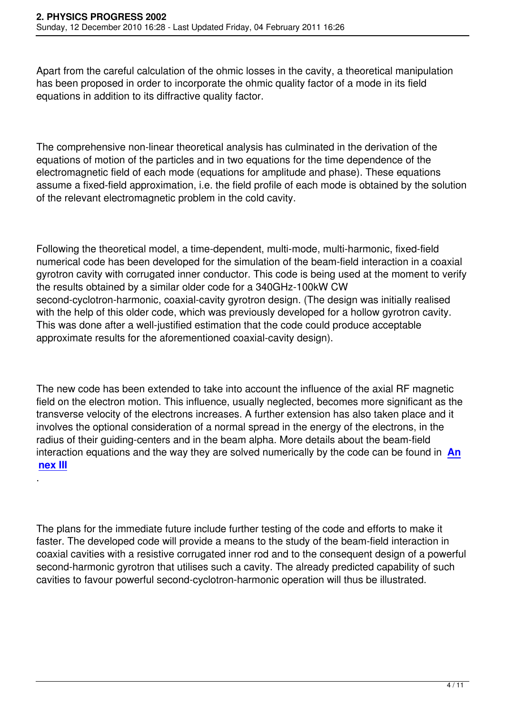Apart from the careful calculation of the ohmic losses in the cavity, a theoretical manipulation has been proposed in order to incorporate the ohmic quality factor of a mode in its field equations in addition to its diffractive quality factor.

The comprehensive non-linear theoretical analysis has culminated in the derivation of the equations of motion of the particles and in two equations for the time dependence of the electromagnetic field of each mode (equations for amplitude and phase). These equations assume a fixed-field approximation, i.e. the field profile of each mode is obtained by the solution of the relevant electromagnetic problem in the cold cavity.

Following the theoretical model, a time-dependent, multi-mode, multi-harmonic, fixed-field numerical code has been developed for the simulation of the beam-field interaction in a coaxial gyrotron cavity with corrugated inner conductor. This code is being used at the moment to verify the results obtained by a similar older code for a 340GHz-100kW CW second-cyclotron-harmonic, coaxial-cavity gyrotron design. (The design was initially realised with the help of this older code, which was previously developed for a hollow gyrotron cavity. This was done after a well-justified estimation that the code could produce acceptable approximate results for the aforementioned coaxial-cavity design).

The new code has been extended to take into account the influence of the axial RF magnetic field on the electron motion. This influence, usually neglected, becomes more significant as the transverse velocity of the electrons increases. A further extension has also taken place and it involves the optional consideration of a normal spread in the energy of the electrons, in the radius of their guiding-centers and in the beam alpha. More details about the beam-field interaction equations and the way they are solved numerically by the code can be found in **An nex III**

.

The plans for the immediate future include further testing of the code and efforts to make it faster. The developed code will provide a means to the study of the beam-field interaction in coaxial cavities with a resistive corrugated inner rod and to the consequent design of a powerful second-harmonic gyrotron that utilises such a cavity. The already predicted capability of such cavities to favour powerful second-cyclotron-harmonic operation will thus be illustrated.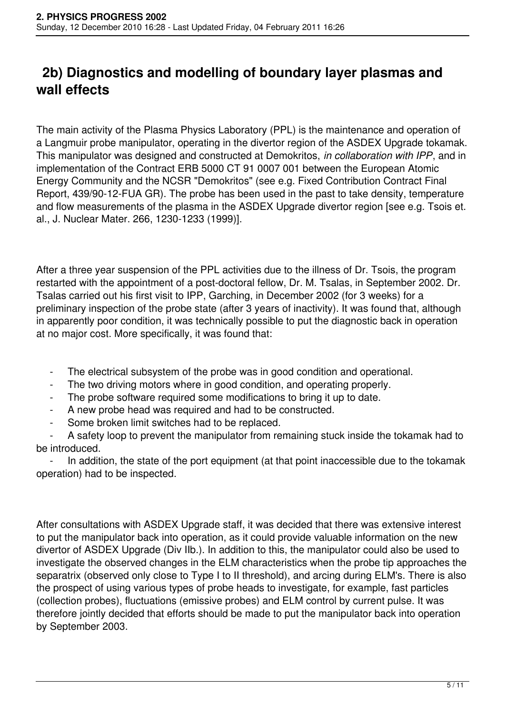# **2b) Diagnostics and modelling of boundary layer plasmas and wall effects**

The main activity of the Plasma Physics Laboratory (PPL) is the maintenance and operation of a Langmuir probe manipulator, operating in the divertor region of the ASDEX Upgrade tokamak. This manipulator was designed and constructed at Demokritos, *in collaboration with IPP*, and in implementation of the Contract ERB 5000 CT 91 0007 001 between the European Atomic Energy Community and the NCSR "Demokritos" (see e.g. Fixed Contribution Contract Final Report, 439/90-12-FUA GR). The probe has been used in the past to take density, temperature and flow measurements of the plasma in the ASDEX Upgrade divertor region [see e.g. Tsois et. al., J. Nuclear Mater. 266, 1230-1233 (1999)].

After a three year suspension of the PPL activities due to the illness of Dr. Tsois, the program restarted with the appointment of a post-doctoral fellow, Dr. M. Tsalas, in September 2002. Dr. Tsalas carried out his first visit to IPP, Garching, in December 2002 (for 3 weeks) for a preliminary inspection of the probe state (after 3 years of inactivity). It was found that, although in apparently poor condition, it was technically possible to put the diagnostic back in operation at no major cost. More specifically, it was found that:

- The electrical subsystem of the probe was in good condition and operational.
- The two driving motors where in good condition, and operating properly.
- The probe software required some modifications to bring it up to date.
- A new probe head was required and had to be constructed.
- Some broken limit switches had to be replaced.

A safety loop to prevent the manipulator from remaining stuck inside the tokamak had to be introduced.

In addition, the state of the port equipment (at that point inaccessible due to the tokamak operation) had to be inspected.

After consultations with ASDEX Upgrade staff, it was decided that there was extensive interest to put the manipulator back into operation, as it could provide valuable information on the new divertor of ASDEX Upgrade (Div IIb.). In addition to this, the manipulator could also be used to investigate the observed changes in the ELM characteristics when the probe tip approaches the separatrix (observed only close to Type I to II threshold), and arcing during ELM's. There is also the prospect of using various types of probe heads to investigate, for example, fast particles (collection probes), fluctuations (emissive probes) and ELM control by current pulse. It was therefore jointly decided that efforts should be made to put the manipulator back into operation by September 2003.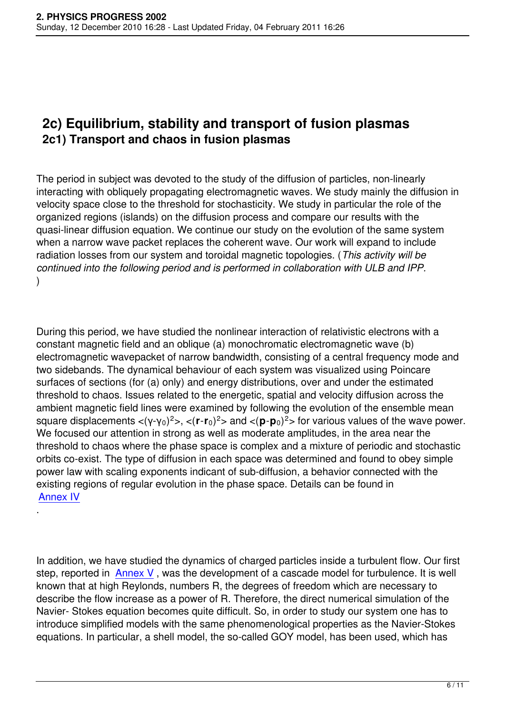## **2c) Equilibrium, stability and transport of fusion plasmas 2c1) Transport and chaos in fusion plasmas**

The period in subject was devoted to the study of the diffusion of particles, non-linearly interacting with obliquely propagating electromagnetic waves. We study mainly the diffusion in velocity space close to the threshold for stochasticity. We study in particular the role of the organized regions (islands) on the diffusion process and compare our results with the quasi-linear diffusion equation. We continue our study on the evolution of the same system when a narrow wave packet replaces the coherent wave. Our work will expand to include radiation losses from our system and toroidal magnetic topologies. (*This activity will be continued into the following period and is performed in collaboration with ULB and IPP.* )

During this period, we have studied the nonlinear interaction of relativistic electrons with a constant magnetic field and an oblique (a) monochromatic electromagnetic wave (b) electromagnetic wavepacket of narrow bandwidth, consisting of a central frequency mode and two sidebands. The dynamical behaviour of each system was visualized using Poincare surfaces of sections (for (a) only) and energy distributions, over and under the estimated threshold to chaos. Issues related to the energetic, spatial and velocity diffusion across the ambient magnetic field lines were examined by following the evolution of the ensemble mean square displacements <(γ-γ0) <sup>2</sup>>, <(**r**-**r**0) <sup>2</sup>> and <(**p**-**p**0) <sup>2</sup>> for various values of the wave power. We focused our attention in strong as well as moderate amplitudes, in the area near the threshold to chaos where the phase space is complex and a mixture of periodic and stochastic orbits co-exist. The type of diffusion in each space was determined and found to obey simple power law with scaling exponents indicant of sub-diffusion, a behavior connected with the existing regions of regular evolution in the phase space. Details can be found in Annex IV

In addition, we have studied the dynamics of charged particles inside a turbulent flow. Our first step, reported in Annex V, was the development of a cascade model for turbulence. It is well known that at high Reylonds, numbers R, the degrees of freedom which are necessary to describe the flow increase as a power of R. Therefore, the direct numerical simulation of the Navier- Stokes e[quation be](images/stories/Annexes/2002/Annex05.pdf)comes quite difficult. So, in order to study our system one has to introduce simplified models with the same phenomenological properties as the Navier-Stokes equations. In particular, a shell model, the so-called GOY model, has been used, which has

.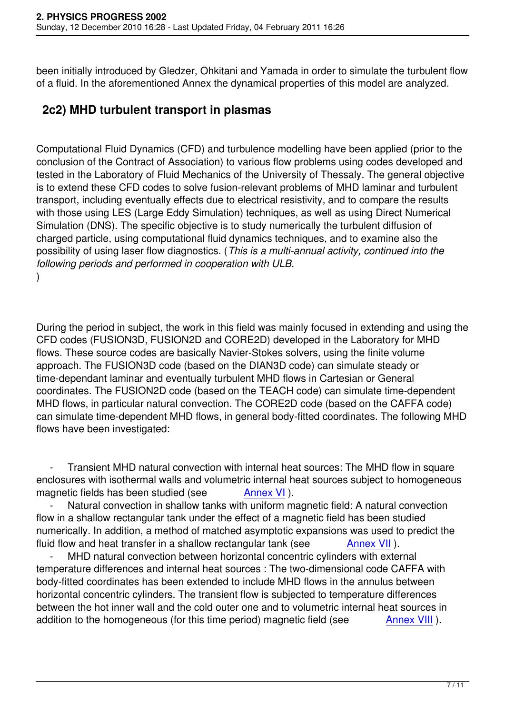been initially introduced by Gledzer, Ohkitani and Yamada in order to simulate the turbulent flow of a fluid. In the aforementioned Annex the dynamical properties of this model are analyzed.

#### **2c2) MHD turbulent transport in plasmas**

Computational Fluid Dynamics (CFD) and turbulence modelling have been applied (prior to the conclusion of the Contract of Association) to various flow problems using codes developed and tested in the Laboratory of Fluid Mechanics of the University of Thessaly. The general objective is to extend these CFD codes to solve fusion-relevant problems of MHD laminar and turbulent transport, including eventually effects due to electrical resistivity, and to compare the results with those using LES (Large Eddy Simulation) techniques, as well as using Direct Numerical Simulation (DNS). The specific objective is to study numerically the turbulent diffusion of charged particle, using computational fluid dynamics techniques, and to examine also the possibility of using laser flow diagnostics. (*This is a multi-annual activity, continued into the following periods and performed in cooperation with ULB.* )

During the period in subject, the work in this field was mainly focused in extending and using the CFD codes (FUSION3D, FUSION2D and CORE2D) developed in the Laboratory for MHD flows. These source codes are basically Navier-Stokes solvers, using the finite volume approach. The FUSION3D code (based on the DIAN3D code) can simulate steady or time-dependant laminar and eventually turbulent MHD flows in Cartesian or General coordinates. The FUSION2D code (based on the TEACH code) can simulate time-dependent MHD flows, in particular natural convection. The CORE2D code (based on the CAFFA code) can simulate time-dependent MHD flows, in general body-fitted coordinates. The following MHD flows have been investigated:

Transient MHD natural convection with internal heat sources: The MHD flow in square enclosures with isothermal walls and volumetric internal heat sources subject to homogeneous magnetic fields has been studied (see Annex VI).

Natural convection in shallow tanks with uniform magnetic field: A natural convection flow in a shallow rectangular tank under the effect of a magnetic field has been studied numerically. In addition, a method of matched [asymptot](images/stories/Annexes/2002/Annex06.pdf)ic expansions was used to predict the fluid flow and heat transfer in a shallow rectangular tank (see Annex VII).

MHD natural convection between horizontal concentric cylinders with external temperature differences and internal heat sources : The two-dimensional code CAFFA with body-fitted coordinates has been extended to include MHD flows in t[he annulus](images/stories/Annexes/2002/Annex07.pdf) between horizontal concentric cylinders. The transient flow is subjected to temperature differences between the hot inner wall and the cold outer one and to volumetric internal heat sources in addition to the homogeneous (for this time period) magnetic field (see Annex VIII).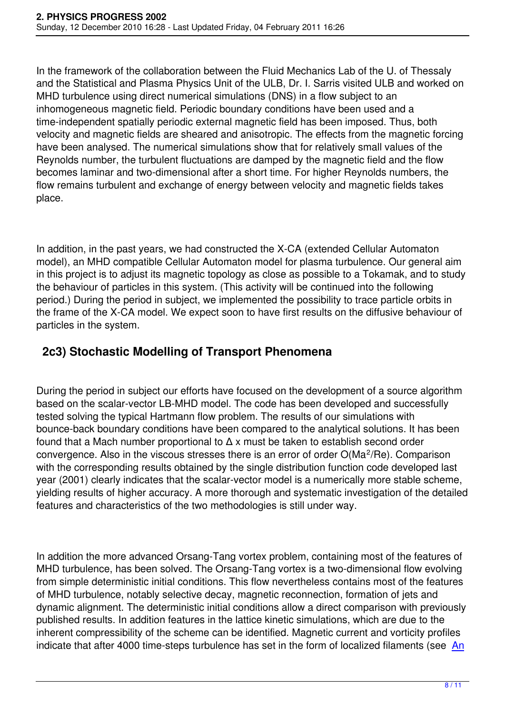In the framework of the collaboration between the Fluid Mechanics Lab of the U. of Thessaly and the Statistical and Plasma Physics Unit of the ULB, Dr. I. Sarris visited ULB and worked on MHD turbulence using direct numerical simulations (DNS) in a flow subject to an inhomogeneous magnetic field. Periodic boundary conditions have been used and a time-independent spatially periodic external magnetic field has been imposed. Thus, both velocity and magnetic fields are sheared and anisotropic. The effects from the magnetic forcing have been analysed. The numerical simulations show that for relatively small values of the Reynolds number, the turbulent fluctuations are damped by the magnetic field and the flow becomes laminar and two-dimensional after a short time. For higher Reynolds numbers, the flow remains turbulent and exchange of energy between velocity and magnetic fields takes place.

In addition, in the past years, we had constructed the X-CA (extended Cellular Automaton model), an MHD compatible Cellular Automaton model for plasma turbulence. Our general aim in this project is to adjust its magnetic topology as close as possible to a Tokamak, and to study the behaviour of particles in this system. (This activity will be continued into the following period.) During the period in subject, we implemented the possibility to trace particle orbits in the frame of the X-CA model. We expect soon to have first results on the diffusive behaviour of particles in the system.

#### **2c3) Stochastic Modelling of Transport Phenomena**

During the period in subject our efforts have focused on the development of a source algorithm based on the scalar-vector LB-MHD model. The code has been developed and successfully tested solving the typical Hartmann flow problem. The results of our simulations with bounce-back boundary conditions have been compared to the analytical solutions. It has been found that a Mach number proportional to  $\Delta x$  must be taken to establish second order convergence. Also in the viscous stresses there is an error of order  $O(Ma^2/Re)$ . Comparison with the corresponding results obtained by the single distribution function code developed last year (2001) clearly indicates that the scalar-vector model is a numerically more stable scheme, yielding results of higher accuracy. A more thorough and systematic investigation of the detailed features and characteristics of the two methodologies is still under way.

In addition the more advanced Orsang-Tang vortex problem, containing most of the features of MHD turbulence, has been solved. The Orsang-Tang vortex is a two-dimensional flow evolving from simple deterministic initial conditions. This flow nevertheless contains most of the features of MHD turbulence, notably selective decay, magnetic reconnection, formation of jets and dynamic alignment. The deterministic initial conditions allow a direct comparison with previously published results. In addition features in the lattice kinetic simulations, which are due to the inherent compressibility of the scheme can be identified. Magnetic current and vorticity profiles indicate that after 4000 time-steps turbulence has set in the form of localized filaments (see An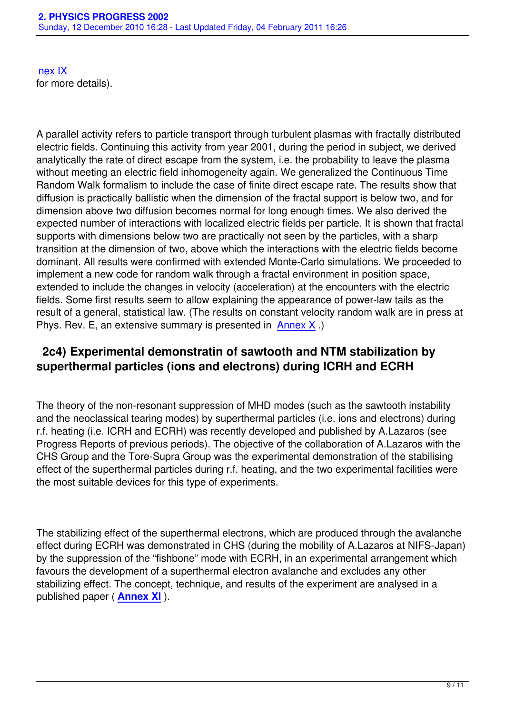A parallel activity refers to particle transport through turbulent plasmas with fractally distributed electric fields. Continuing this activity from year 2001, during the period in subject, we derived analytically the rate of direct escape from the system, i.e. the probability to leave the plasma without meeting an electric field inhomogeneity again. We generalized the Continuous Time Random Walk formalism to include the case of finite direct escape rate. The results show that diffusion is practically ballistic when the dimension of the fractal support is below two, and for dimension above two diffusion becomes normal for long enough times. We also derived the expected number of interactions with localized electric fields per particle. It is shown that fractal supports with dimensions below two are practically not seen by the particles, with a sharp transition at the dimension of two, above which the interactions with the electric fields become dominant. All results were confirmed with extended Monte-Carlo simulations. We proceeded to implement a new code for random walk through a fractal environment in position space, extended to include the changes in velocity (acceleration) at the encounters with the electric fields. Some first results seem to allow explaining the appearance of power-law tails as the result of a general, statistical law. (The results on constant velocity random walk are in press at Phys. Rev. E, an extensive summary is presented in Annex  $X$ .)

#### **2c4) Experimental demonstratin of sawtooth and NTM stabilization by superthermal particles (ions and electrons[\) during](images/stories/Annexes/2002/Annex10.pdf) ICRH and ECRH**

The theory of the non-resonant suppression of MHD modes (such as the sawtooth instability and the neoclassical tearing modes) by superthermal particles (i.e. ions and electrons) during r.f. heating (i.e. ICRH and ECRH) was recently developed and published by A.Lazaros (see Progress Reports of previous periods). The objective of the collaboration of A.Lazaros with the CHS Group and the Tore-Supra Group was the experimental demonstration of the stabilising effect of the superthermal particles during r.f. heating, and the two experimental facilities were the most suitable devices for this type of experiments.

The stabilizing effect of the superthermal electrons, which are produced through the avalanche effect during ECRH was demonstrated in CHS (during the mobility of A.Lazaros at NIFS-Japan) by the suppression of the "fishbone" mode with ECRH, in an experimental arrangement which favours the development of a superthermal electron avalanche and excludes any other stabilizing effect. The concept, technique, and results of the experiment are analysed in a published paper ( **Annex XI** ).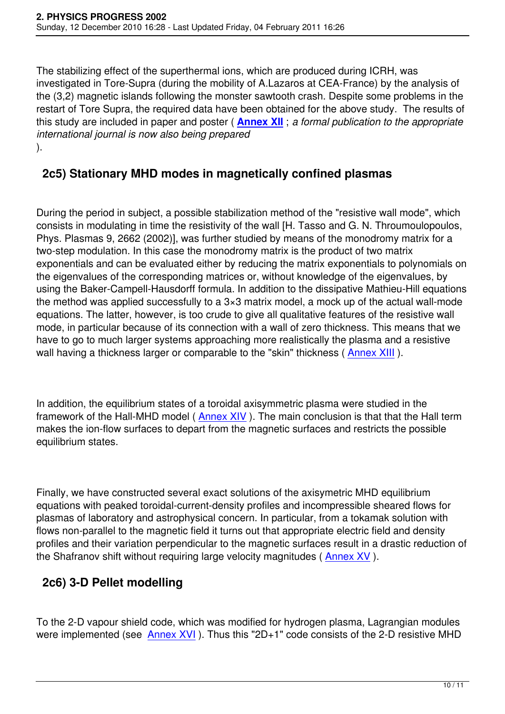The stabilizing effect of the superthermal ions, which are produced during ICRH, was investigated in Tore-Supra (during the mobility of A.Lazaros at CEA-France) by the analysis of the (3,2) magnetic islands following the monster sawtooth crash. Despite some problems in the restart of Tore Supra, the required data have been obtained for the above study. The results of this study are included in paper and poster ( **Annex XII** ; *a formal publication to the appropriate international journal is now also being prepared* ).

### **2c5) Stationary MHD modes in ma[gnetically](images/stories/Annexes/2002/Annex12.pdf) confined plasmas**

During the period in subject, a possible stabilization method of the "resistive wall mode", which consists in modulating in time the resistivity of the wall [H. Tasso and G. N. Throumoulopoulos, Phys. Plasmas 9, 2662 (2002)], was further studied by means of the monodromy matrix for a two-step modulation. In this case the monodromy matrix is the product of two matrix exponentials and can be evaluated either by reducing the matrix exponentials to polynomials on the eigenvalues of the corresponding matrices or, without knowledge of the eigenvalues, by using the Baker-Campell-Hausdorff formula. In addition to the dissipative Mathieu-Hill equations the method was applied successfully to a 3×3 matrix model, a mock up of the actual wall-mode equations. The latter, however, is too crude to give all qualitative features of the resistive wall mode, in particular because of its connection with a wall of zero thickness. This means that we have to go to much larger systems approaching more realistically the plasma and a resistive wall having a thickness larger or comparable to the "skin" thickness (Annex XIII).

In addition, the equilibrium states of a toroidal axisymmetric plasma [were studied](images/stories/Annexes/2002/Annex13.pdf) in the framework of the Hall-MHD model (Annex XIV). The main conclusion is that that the Hall term makes the ion-flow surfaces to depart from the magnetic surfaces and restricts the possible equilibrium states.

Finally, we have constructed several exact solutions of the axisymetric MHD equilibrium equations with peaked toroidal-current-density profiles and incompressible sheared flows for plasmas of laboratory and astrophysical concern. In particular, from a tokamak solution with flows non-parallel to the magnetic field it turns out that appropriate electric field and density profiles and their variation perpendicular to the magnetic surfaces result in a drastic reduction of the Shafranov shift without requiring large velocity magnitudes ( Annex XV ).

### **2c6) 3-D Pellet modelling**

To the 2-D vapour shield code, which was modified for hydrogen plasma, Lagrangian modules were implemented (see Annex  $XVI$ ). Thus this "2D+1" code consists of the 2-D resistive MHD